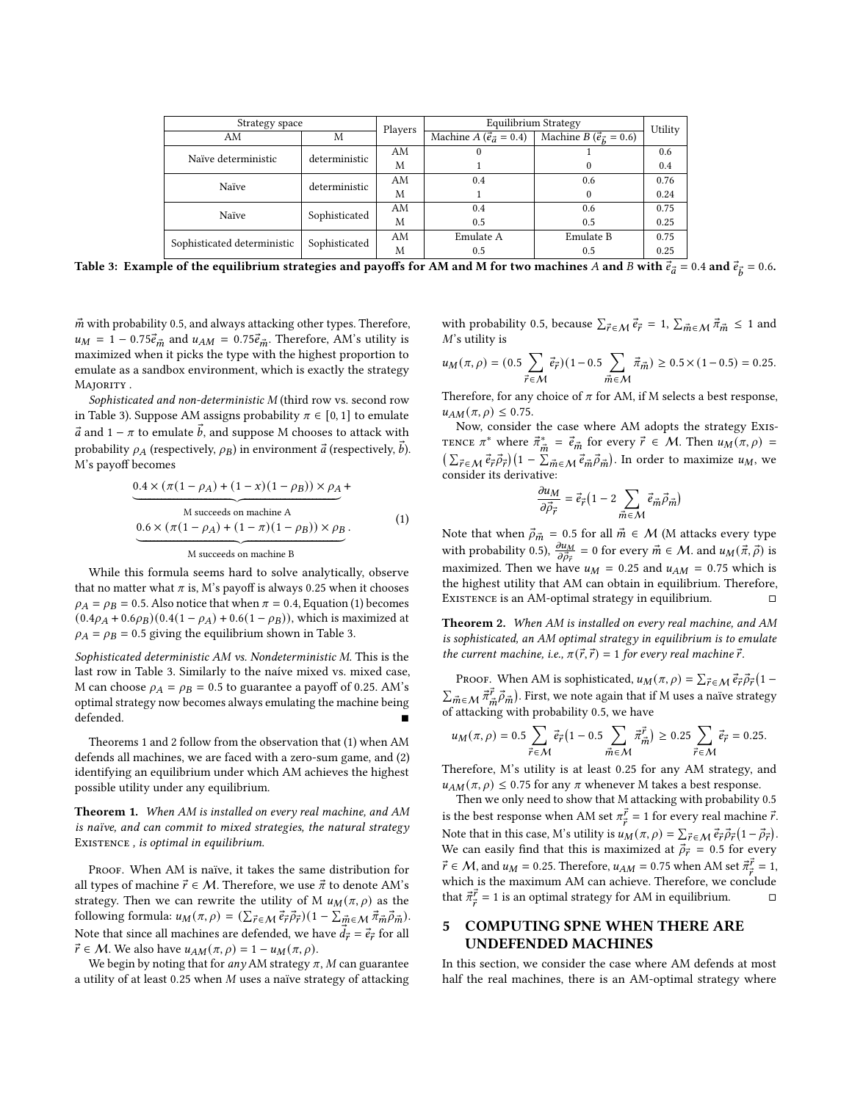<span id="page-4-0"></span>

| Strategy space              |               | Players | Equilibrium Strategy                    |                                         | Utility |  |
|-----------------------------|---------------|---------|-----------------------------------------|-----------------------------------------|---------|--|
| AM                          | M             |         | Machine A ( $\vec{e}_{\vec{a}} = 0.4$ ) | Machine B ( $\vec{e}_{\vec{k}} = 0.6$ ) |         |  |
| Naïve deterministic         | deterministic | AM      |                                         |                                         | 0.6     |  |
|                             |               | М       |                                         |                                         | 0.4     |  |
| Naïve                       | deterministic | AΜ      | 0.4                                     | 0.6                                     | 0.76    |  |
|                             |               | M       |                                         |                                         | 0.24    |  |
| Naïve                       | Sophisticated | AM      | 0.4                                     | 0.6                                     | 0.75    |  |
|                             |               | M       | 0.5                                     | 0.5                                     | 0.25    |  |
| Sophisticated deterministic | Sophisticated | AM      | Emulate A                               | Emulate B                               | 0.75    |  |
|                             |               | M       | 0.5                                     | 0.5                                     | 0.25    |  |

Table 3: Example of the equilibrium strategies and payoffs for AM and M for two machines A and B with  $\vec{e}_{\vec{a}}=0.4$  and  $\vec{e}_{\vec{b}}=0.6.$ 

 $\vec{m}$  with probability 0.5, and always attacking other types. Therefore,  $u_M = 1 - 0.75 \vec{e}_{\vec{m}}$  and  $u_{AM} = 0.75 \vec{e}_{\vec{m}}$ . Therefore, AM's utility is maximized when it picks the type with the highest proportion to emulate as a sandbox environment, which is exactly the strategy MAJORITY.

Sophisticated and non-deterministic M (third row vs. second row in Table [3\)](#page-4-0). Suppose AM assigns probability  $\pi \in [0, 1]$  to emulate  $\vec{a}$  and 1 –  $\pi$  to emulate  $b$ , and suppose M chooses to attack with probability  $\rho_A$  (respectively,  $\rho_B$ ) in environment  $\vec{a}$  (respectively,  $\vec{b}$ ). M's payoff becomes

$$
\underbrace{0.4 \times (\pi (1 - \rho_A) + (1 - x)(1 - \rho_B)) \times \rho_A}_{M \text{ succeeds on machine A}} + \underbrace{0.6 \times (\pi (1 - \rho_A) + (1 - \pi)(1 - \rho_B)) \times \rho_B}_{M \text{ succeeds on machine B}}.
$$
 (1)

While this formula seems hard to solve analytically, observe that no matter what  $\pi$  is, M's payoff is always 0.25 when it chooses  $\rho_A = \rho_B = 0.5$ . Also notice that when  $\pi = 0.4$ , Equation [\(1\)](#page-4-1) becomes  $(0.4\rho_A + 0.6\rho_B)(0.4(1 - \rho_A) + 0.6(1 - \rho_B))$ , which is maximized at  $\rho_A = \rho_B = 0.5$  giving the equilibrium shown in Table [3.](#page-4-0)

Sophisticated deterministic AM vs. Nondeterministic M. This is the last row in Table [3.](#page-4-0) Similarly to the naíve mixed vs. mixed case, M can choose  $\rho_A = \rho_B = 0.5$  to guarantee a payoff of 0.25. AM's optimal strategy now becomes always emulating the machine being defended.

Theorems [1](#page-4-2) and [2](#page-4-3) follow from the observation that (1) when AM defends all machines, we are faced with a zero-sum game, and (2) identifying an equilibrium under which AM achieves the highest possible utility under any equilibrium.

<span id="page-4-2"></span>**Theorem 1.** When AM is installed on every real machine, and AM is naïve, and can commit to mixed strategies, the natural strategy Existence , is optimal in equilibrium.

PROOF. When AM is naïve, it takes the same distribution for all types of machine  $\vec{r} \in M$ . Therefore, we use  $\vec{\pi}$  to denote AM's strategy. Then we can rewrite the utility of M  $u_M(\pi, \rho)$  as the following formula:  $u_M(\pi, \rho) = (\sum_{\vec{r} \in \mathcal{M}} \vec{e}_{\vec{r}} \vec{\rho}_{\vec{r}}) (1 - \sum_{\vec{m} \in \mathcal{M}} \vec{\pi}_{\vec{m}} \vec{\rho}_{\vec{m}}).$ Note that since all machines are defended, we have  $\vec{d}_{\vec{r}} = \vec{e}_{\vec{r}}$  for all  $\vec{r} \in M$ . We also have  $u_{AM}(\pi, \rho) = 1 - u_M(\pi, \rho)$ .

We begin by noting that for any AM strategy  $\pi$ , M can guarantee a utility of at least  $0.25$  when  $M$  uses a naïve strategy of attacking

with probability 0.5, because  $\sum_{\vec{r} \in \mathcal{M}} \vec{e}_{\vec{r}} = 1$ ,  $\sum_{\vec{m} \in \mathcal{M}} \vec{\pi}_{\vec{m}} \leq 1$  and  $M$ 's utility is

$$
u_M(\pi,\rho) = (0.5 \sum_{\vec{r} \in \mathcal{M}} \vec{e}_{\vec{r}})(1 - 0.5 \sum_{\vec{m} \in \mathcal{M}} \vec{\pi}_{\vec{m}}) \ge 0.5 \times (1 - 0.5) = 0.25.
$$

Therefore, for any choice of  $\pi$  for AM, if M selects a best response,  $u_{AM}(\pi, \rho) \leq 0.75.$ 

Now, consider the case where AM adopts the strategy Exis-TENCE  $\pi^*$  where  $\vec{\pi}^*_{\vec{m}} = \vec{e}_{\vec{m}}$  for every  $\vec{r} \in \mathcal{M}$ . Then  $u_M(\pi, \rho) =$  $\left(\sum_{\vec{r}\in\mathcal{M}}\vec{e}_{\vec{r}}\vec{\rho}_{\vec{r}}\right)\left(1-\sum_{\vec{m}\in\mathcal{M}}\vec{e}_{\vec{m}}\vec{\rho}_{\vec{m}}\right)$ . In order to maximize  $u_M$ , we consider its derivative:

$$
\frac{\partial u_M}{\partial \vec{\rho}_{\vec{r}}} = \vec{e}_{\vec{r}} \left( 1 - 2 \sum_{\vec{m} \in \mathcal{M}} \vec{e}_{\vec{m}} \vec{\rho}_{\vec{m}} \right)
$$

<span id="page-4-1"></span>Note that when  $\vec{\rho}_{\vec{m}} = 0.5$  for all  $\vec{m} \in \mathcal{M}$  (M attacks every type with probability 0.5),  $\frac{\partial u_M}{\partial \vec{\rho}_{\vec{r}}} = 0$  for every  $\vec{m} \in \mathcal{M}$ . and  $u_M(\vec{\pi}, \vec{\rho})$  is maximized. Then we have  $u_M = 0.25$  and  $u_{AM} = 0.75$  which is the highest utility that AM can obtain in equilibrium. Therefore, EXISTENCE is an AM-optimal strategy in equilibrium.  $□$ 

<span id="page-4-3"></span>Theorem 2. When AM is installed on every real machine, and AM is sophisticated, an AM optimal strategy in equilibrium is to emulate the current machine, i.e.,  $\pi(\vec{r},\vec{r}) = 1$  for every real machine  $\vec{r}$ .

Proof. When AM is sophisticated,  $u_M(\pi, \rho) = \sum_{\vec{r} \in \mathcal{M}} \vec{e}_{\vec{r}} \vec{\rho}_{\vec{r}} (1 - \vec{r})$  $\sum_{\vec{m} \in \mathcal{M}} \vec{\pi}^{\vec{r}}_{\vec{m}} \vec{\rho}_{\vec{m}}$ ). First, we note again that if M uses a naïve strategy of attacking with probability 0.5, we have

$$
u_M(\pi,\rho) = 0.5 \sum_{\vec{r} \in \mathcal{M}} \vec{e}_{\vec{r}} (1 - 0.5 \sum_{\vec{m} \in \mathcal{M}} \vec{\pi}_{\vec{m}}^{\vec{r}}) \ge 0.25 \sum_{\vec{r} \in \mathcal{M}} \vec{e}_{\vec{r}} = 0.25.
$$

Therefore, M's utility is at least 0.25 for any AM strategy, and  $u_{AM}(\pi, \rho) \leq 0.75$  for any  $\pi$  whenever M takes a best response.

Then we only need to show that M attacking with probability 0.5 is the best response when AM set  $\pi \vec{r} = 1$  for every real machine  $\vec{r}$ . Note that in this case, M's utility is  $u_M(\pi, \rho) = \sum_{\vec{r} \in \mathcal{M}} \vec{e}_{\vec{r}} \vec{\rho}_{\vec{r}} (1 - \vec{\rho}_{\vec{r}})$ . We can easily find that this is maximized at  $\vec{\rho}_{\vec{r}} = 0.5$  for every  $\vec{r} \in \mathcal{M}$ , and  $u_M = 0.25$ . Therefore,  $u_{AM} = 0.75$  when AM set  $\vec{\pi}^{\vec{r}}_{\vec{r}} = 1$ , which is the maximum AM can achieve. Therefore, we conclude that  $\vec{\pi}_{\vec{r}}^{\vec{r}} = 1$  is an optimal strategy for AM in equilibrium.  $\Box$ 

# 5 COMPUTING SPNE WHEN THERE ARE UNDEFENDED MACHINES

In this section, we consider the case where AM defends at most half the real machines, there is an AM-optimal strategy where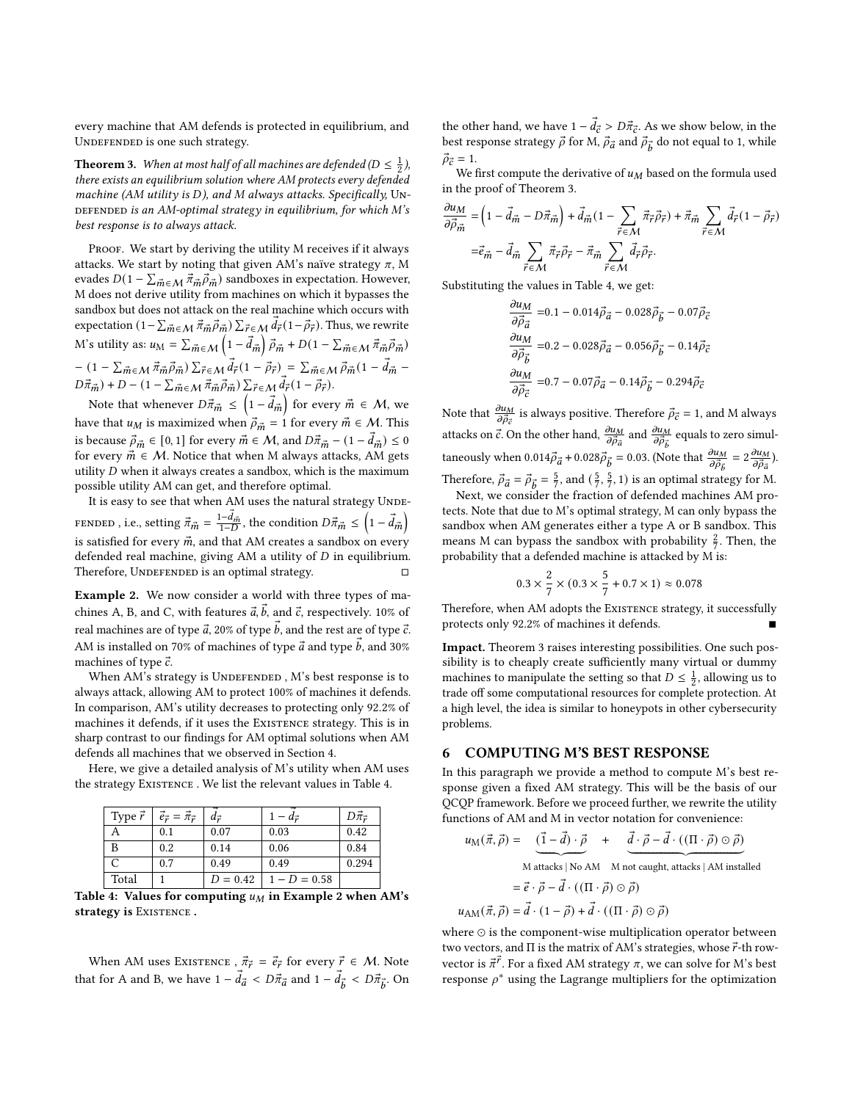every machine that AM defends is protected in equilibrium, and UNDEFENDED is one such strategy.

<span id="page-5-2"></span>**Theorem 3.** When at most half of all machines are defended ( $D \leq \frac{1}{2}$ ), there exists an equilibrium solution where AM protects every defended machine (AM utility is D), and M always attacks. Specifically,  $UN -$ DEFENDED is an AM-optimal strategy in equilibrium, for which M's best response is to always attack.

PROOF. We start by deriving the utility M receives if it always attacks. We start by noting that given AM's naïve strategy  $\pi$ , M evades  $D(1 - \sum_{\vec{m} \in \mathcal{M}} \vec{\pi}_{\vec{m}} \vec{\rho}_{\vec{m}})$  sandboxes in expectation. However, M does not derive utility from machines on which it bypasses the sandbox but does not attack on the real machine which occurs with expectation  $(1-\sum_{\vec{m}\in \mathcal{M}}\vec{\pi}_{\vec{m}}\vec{\rho}_{\vec{m}})\sum_{\vec{r}\in \mathcal{M}}\vec{d}_{\vec{r}}(1-\vec{\rho}_{\vec{r}}).$  Thus, we rewrite M's utility as:  $u_{\rm M}=\sum_{\vec{m}\in\mathcal{M}}\left(1-\vec{d}_{\vec{m}}\right)\vec{\rho}_{\vec{m}}+D(1-\sum_{\vec{m}\in\mathcal{M}}\vec{\pi}_{\vec{m}}\vec{\rho}_{\vec{m}})$  $- (1 - \sum_{\vec{m} \in \mathcal{M}} \vec{\pi}_{\vec{m}} \vec{\rho}_{\vec{m}}) \sum_{\vec{r} \in \mathcal{M}} \vec{d}_{\vec{r}} (1 - \vec{\rho}_{\vec{r}}) = \sum_{\vec{m} \in \mathcal{M}} \vec{\rho}_{\vec{m}} (1 - \vec{d}_{\vec{m}} - \vec{\rho}_{\vec{r}})$  $D\vec{\pi}_{\vec{m}}$ ) + D –  $(1 - \sum_{\vec{m} \in \mathcal{M}} \vec{\pi}_{\vec{m}} \vec{\rho}_{\vec{m}}) \sum_{\vec{r} \in \mathcal{M}} \vec{d}_{\vec{r}} (1 - \vec{\rho}_{\vec{r}})$ .

Note that whenever  $D\vec{\pi}_{\vec{m}} \leq \left(1-\vec{d}_{\vec{m}}\right)$  for every  $\vec{m} \in \mathcal{M}$ , we have that  $u_M$  is maximized when  $\vec{\rho}_{\vec{m}} = 1$  for every  $\vec{m} \in \mathcal{M}$ . This is because  $\vec{\rho}_{\vec{m}} \in [0,1]$  for every  $\vec{m} \in \mathcal{M}$ , and  $D\vec{\pi}_{\vec{m}} - (1 - \vec{d}_{\vec{m}}) \leq 0$ for every  $\vec{m} \in \mathcal{M}$ . Notice that when M always attacks, AM gets utility  $D$  when it always creates a sandbox, which is the maximum possible utility AM can get, and therefore optimal.

It is easy to see that when AM uses the natural strategy UNDE-FENDED , i.e., setting  $\vec{\pi}_{\vec{m}} = \frac{1-\vec{d}_{\vec{m}}}{1-D}$ , the condition  $D\vec{\pi}_{\vec{m}} \leq \left(1-\vec{d}_{\vec{m}}\right)$ is satisfied for every  $\vec{m}$ , and that AM creates a sandbox on every defended real machine, giving AM a utility of  $D$  in equilibrium. Therefore, UNDEFENDED is an optimal strategy.

<span id="page-5-1"></span>Example 2. We now consider a world with three types of machines A, B, and C, with features  $\vec{a}, \vec{b}$ , and  $\vec{c}$ , respectively. 10% of real machines are of type  $\vec{a}$ , 20% of type  $\vec{b}$ , and the rest are of type  $\vec{c}$ . AM is installed on 70% of machines of type  $\vec{a}$  and type  $\vec{b}$ , and 30% machines of type  $\vec{c}$ .

When  $AM$ 's strategy is UNDEFENDED,  $M$ 's best response is to always attack, allowing AM to protect 100% of machines it defends. In comparison, AM's utility decreases to protecting only 92.2% of machines it defends, if it uses the EXISTENCE strategy. This is in sharp contrast to our findings for AM optimal solutions when AM defends all machines that we observed in Section [4.](#page-3-0)

Here, we give a detailed analysis of M's utility when AM uses the strategy Existence. We list the relevant values in Table [4.](#page-5-0)

<span id="page-5-0"></span>

| Type $\vec{r}$ | $\vec{e}_{\vec{r}} = \vec{\pi}_{\vec{r}}$ | $d_{\vec{x}}$ | $-d_{\vec{x}}$ | $D\vec{\pi}$ = |
|----------------|-------------------------------------------|---------------|----------------|----------------|
|                | 0.1                                       | 0.07          | 0.03           | 0.42           |
| B              | 0.2                                       | 0.14          | 0.06           | 0.84           |
|                | 0.7                                       | 0.49          | 0.49           | 0.294          |
| Total          |                                           | $D = 0.42$    | $1 - D = 0.58$ |                |

Table 4: Values for computing  $u_M$  in Example [2](#page-5-1) when AM's strategy is EXISTENCE.

When AM uses Existence ,  $\vec{\pi}_{\vec{r}} = \vec{e}_{\vec{r}}$  for every  $\vec{r} \in \mathcal{M}$ . Note that for A and B, we have  $1 - \vec{d}_{\vec{a}} < D\vec{\pi}_{\vec{a}}$  and  $1 - \vec{d}_{\vec{b}} < D\vec{\pi}_{\vec{b}}$ . On the other hand, we have  $1 - \vec{d}_{\vec{c}} > D\vec{\pi}_{\vec{c}}$ . As we show below, in the best response strategy  $\vec{\rho}$  for M,  $\vec{\rho}_{\vec{a}}$  and  $\vec{\rho}_{\vec{b}}$  do not equal to 1, while  $\overrightarrow{\rho}_{\overrightarrow{c}}=1.$ 

We first compute the derivative of  $u_M$  based on the formula used in the proof of Theorem [3.](#page-5-2)

$$
\frac{\partial u_M}{\partial \vec{\rho}_{\vec{m}}} = \left(1 - \vec{d}_{\vec{m}} - D\vec{\pi}_{\vec{m}}\right) + \vec{d}_{\vec{m}} \left(1 - \sum_{\vec{r} \in \mathcal{M}} \vec{\pi}_{\vec{r}} \vec{\rho}_{\vec{r}}\right) + \vec{\pi}_{\vec{m}} \sum_{\vec{r} \in \mathcal{M}} \vec{d}_{\vec{r}} \left(1 - \vec{\rho}_{\vec{r}}\right)
$$
\n
$$
= \vec{e}_{\vec{m}} - \vec{d}_{\vec{m}} \sum_{\vec{r} \in \mathcal{M}} \vec{\pi}_{\vec{r}} \vec{\rho}_{\vec{r}} - \vec{\pi}_{\vec{m}} \sum_{\vec{r} \in \mathcal{M}} \vec{d}_{\vec{r}} \vec{\rho}_{\vec{r}}.
$$

Substituting the values in Table [4,](#page-5-0) we get:

$$
\frac{\partial u_M}{\partial \vec{\rho}_{\vec{a}}} = 0.1 - 0.014 \vec{\rho}_{\vec{a}} - 0.028 \vec{\rho}_{\vec{b}} - 0.07 \vec{\rho}_{\vec{c}}
$$
  

$$
\frac{\partial u_M}{\partial \vec{\rho}_{\vec{b}}} = 0.2 - 0.028 \vec{\rho}_{\vec{a}} - 0.056 \vec{\rho}_{\vec{b}} - 0.14 \vec{\rho}_{\vec{c}}
$$
  

$$
\frac{\partial u_M}{\partial \vec{\rho}_{\vec{c}}} = 0.7 - 0.07 \vec{\rho}_{\vec{a}} - 0.14 \vec{\rho}_{\vec{b}} - 0.294 \vec{\rho}_{\vec{c}}
$$

Note that  $\frac{\partial u_M}{\partial \vec{\rho}_{\vec{c}}}$  is always positive. Therefore  $\vec{\rho}_{\vec{c}} = 1$ , and M always attacks on  $\vec{c}$ . On the other hand,  $\frac{\partial u_M}{\partial \vec{\rho}_a}$  and  $\frac{\partial u_M}{\partial \vec{\rho}_b}$  equals to zero simultaneously when  $0.014 \vec{\rho}_{\vec{a}} + 0.028 \vec{\rho}_{\vec{b}} = 0.03$ . (Note that  $\frac{\partial u_M}{\partial \vec{\rho}_{\vec{b}}} = 2 \frac{\partial u_M}{\partial \vec{\rho}_{\vec{a}}}$  $\frac{\partial u_{M}}{\partial\vec{\rho}_{\vec{a}}}).$ Therefore,  $\vec{\rho}_{\vec{a}} = \vec{\rho}_{\vec{b}} = \frac{5}{7}$ , and  $(\frac{5}{7}, \frac{5}{7}, 1)$  is an optimal strategy for M.

Next, we consider the fraction of defended machines AM protects. Note that due to M's optimal strategy, M can only bypass the sandbox when AM generates either a type A or B sandbox. This means M can bypass the sandbox with probability  $\frac{2}{7}$ . Then, the probability that a defended machine is attacked by M is:

$$
0.3 \times \frac{2}{7} \times (0.3 \times \frac{5}{7} + 0.7 \times 1) \approx 0.078
$$

Therefore, when AM adopts the Existence strategy, it successfully protects only 92.2% of machines it defends.

Impact. Theorem [3](#page-5-2) raises interesting possibilities. One such possibility is to cheaply create sufficiently many virtual or dummy machines to manipulate the setting so that  $D \leq \frac{1}{2}$ , allowing us to trade off some computational resources for complete protection. At a high level, the idea is similar to honeypots in other cybersecurity problems.

#### <span id="page-5-3"></span>6 COMPUTING M'S BEST RESPONSE

In this paragraph we provide a method to compute M's best response given a fixed AM strategy. This will be the basis of our QCQP framework. Before we proceed further, we rewrite the utility functions of AM and M in vector notation for convenience:

$$
u_{\text{M}}(\vec{\pi}, \vec{\rho}) = \underbrace{(\vec{1} - \vec{d}) \cdot \vec{\rho}}_{\text{M attacks }|\text{No AM}} + \underbrace{\vec{d} \cdot \vec{\rho} - \vec{d} \cdot ((\Pi \cdot \vec{\rho}) \odot \vec{\rho})}_{\text{M attacks }|\text{AN} \text{ most caught, attacks }|\text{AM installed}}
$$
\n
$$
= \vec{e} \cdot \vec{\rho} - \vec{d} \cdot ((\Pi \cdot \vec{\rho}) \odot \vec{\rho})
$$
\n
$$
u_{\text{AM}}(\vec{\pi}, \vec{\rho}) = \vec{d} \cdot (1 - \vec{\rho}) + \vec{d} \cdot ((\Pi \cdot \vec{\rho}) \odot \vec{\rho})
$$

where ⊙ is the component-wise multiplication operator between two vectors, and  $\Pi$  is the matrix of AM's strategies, whose  $\vec{r}$ -th rowvector is  $\vec{\pi}^{\vec{r}}$ . For a fixed AM strategy  $\pi$ , we can solve for M's best response  $\rho^*$  using the Lagrange multipliers for the optimization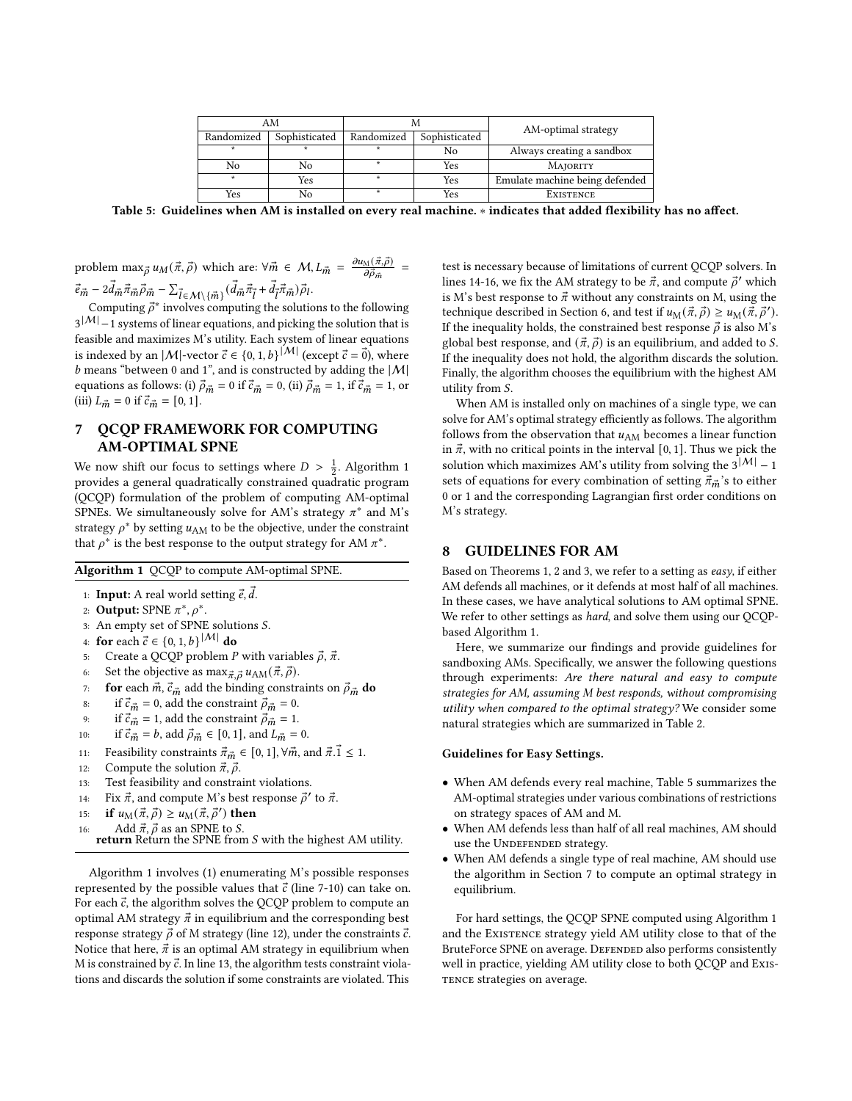| AM         |               |            |               | AM-optimal strategy            |  |
|------------|---------------|------------|---------------|--------------------------------|--|
| Randomized | Sophisticated | Randomized | Sophisticated |                                |  |
|            |               |            | No            | Always creating a sandbox      |  |
| No         | No            |            | Yes           | <b>MAJORITY</b>                |  |
| $\star$    | Yes           | $\star$    | Yes           | Emulate machine being defended |  |
| Yes        | No            | $\star$    | Yes           | <b>EXISTENCE</b>               |  |

<span id="page-6-1"></span>Table 5: Guidelines when AM is installed on every real machine. ∗ indicates that added flexibility has no affect.

problem  $\max_{\vec{\rho}} u_M(\vec{\pi}, \vec{\rho})$  which are:  $\forall \vec{m} \in \mathcal{M}, L_{\vec{m}} = \frac{\partial u_M(\vec{\pi}, \vec{\rho})}{\partial \vec{\rho}_{\vec{\pi}}}$  $rac{\Delta(N,\rho)}{\partial \vec{\rho}_{\vec{m}}}$  =  $\vec e_{\vec m} -2\vec d_{\vec m}\vec \pi_{\vec m}\vec \rho_{\vec m} -\sum_{\vec l\in\mathcal{M}\backslash\{\vec m\}}(\vec d_{\vec m}\vec \pi_{\vec l} +\vec d_{\vec l}\vec \pi_{\vec m})\vec \rho_l.$ 

Computing  $\vec{\rho}^*$  involves computing the solutions to the following  $3^{|M|}-1$  systems of linear equations, and picking the solution that is feasible and maximizes M's utility. Each system of linear equations is indexed by an  $|M|$ -vector  $\vec{c} \in \{0, 1, b\}^{|M|}$  (except  $\vec{c} = \vec{0}$ ), where  $b$  means "between 0 and 1", and is constructed by adding the  $|\mathcal{M}|$ equations as follows: (i)  $\vec{\rho}_{\vec{m}} = 0$  if  $\vec{c}_{\vec{m}} = 0$ , (ii)  $\vec{\rho}_{\vec{m}} = 1$ , if  $\vec{c}_{\vec{m}} = 1$ , or (iii)  $L_{\vec{m}} = 0$  if  $\vec{c}_{\vec{m}} = [0, 1]$ .

## <span id="page-6-2"></span>7 QCQP FRAMEWORK FOR COMPUTING AM-OPTIMAL SPNE

We now shift our focus to settings where  $D > \frac{1}{2}$ . Algorithm [1](#page-6-0) provides a general quadratically constrained quadratic program (QCQP) formulation of the problem of computing AM-optimal SPNEs. We simultaneously solve for AM's strategy  $\pi^*$  and M's strategy  $\rho^*$  by setting  $u_{AM}$  to be the objective, under the constraint that  $\rho^*$  is the best response to the output strategy for AM  $\pi^*$ .

<span id="page-6-0"></span>

|  |  |  | Algorithm 1 QCQP to compute AM-optimal SPNE. |  |
|--|--|--|----------------------------------------------|--|
|--|--|--|----------------------------------------------|--|

- 1: Input: A real world setting  $\vec{e}, \vec{d}$ .
- 2: Output: SPNE  $\pi^*, \rho^*$ .
- $3:$  An empty set of SPNE solutions  $S$ .
- 4: for each  $\vec{c} \in \{0, 1, b\}^{|M|}$  do
- 5: Create a QCQP problem *P* with variables  $\vec{\rho}$ ,  $\vec{\pi}$ .
- 6: Set the objective as  $\max_{\vec{\pi}, \vec{\rho}} u_{AM}(\vec{\pi}, \vec{\rho}).$
- 7: **for** each  $\vec{m}$ ,  $\vec{c}_{\vec{m}}$  add the binding constraints on  $\vec{\rho}_{\vec{m}}$  **do**
- 8: if  $\vec{c}_{\vec{m}} = 0$ , add the constraint  $\vec{\rho}_{\vec{m}} = 0$ .
- 9: if  $\vec{c}_{\vec{m}} = 1$ , add the constraint  $\vec{\rho}_{\vec{m}} = 1$ .
- $\text{if } \vec{c}_{\vec{m}} = b \text{, add } \vec{\rho}_{\vec{m}} \in [0,1] \text{, and } L_{\vec{m}} = 0.$
- 11: Feasibility constraints  $\vec{\pi}_{\vec{m}} \in [0,1], \forall \vec{m}$  and  $\vec{\pi}.\vec{1} \leq 1.$
- 12: Compute the solution  $\vec{\pi}, \vec{\rho}$ .
- 13: Test feasibility and constraint violations.
- 14: Fix  $\vec{\pi}$ , and compute M's best response  $\vec{\rho}'$  to  $\vec{\pi}$ .
- 15: if  $u_M(\vec{\pi}, \vec{\rho}) \ge u_M(\vec{\pi}, \vec{\rho}')$  then
- 16: Add  $\vec{\pi}$ ,  $\vec{\rho}$  as an SPNE to S.

```
return Return the SPNE from S with the highest AM utility.
```
Algorithm [1](#page-6-0) involves (1) enumerating M's possible responses represented by the possible values that  $\vec{c}$  (line 7-10) can take on. For each  $\vec{c}$ , the algorithm solves the QCQP problem to compute an optimal AM strategy  $\vec{\pi}$  in equilibrium and the corresponding best response strategy  $\vec{\rho}$  of M strategy (line 12), under the constraints  $\vec{c}$ . Notice that here,  $\vec{\pi}$  is an optimal AM strategy in equilibrium when M is constrained by  $\vec{c}$ . In line 13, the algorithm tests constraint violations and discards the solution if some constraints are violated. This

test is necessary because of limitations of current QCQP solvers. In lines 14-16, we fix the AM strategy to be  $\vec{\pi}$ , and compute  $\vec{\rho}'$  which is M's best response to  $\vec{\pi}$  without any constraints on M, using the technique described in Section [6,](#page-5-3) and test if  $u_M(\vec{\pi}, \vec{\rho}) \ge u_M(\vec{\pi}, \vec{\rho}')$ . If the inequality holds, the constrained best response  $\vec{\rho}$  is also M's global best response, and  $(\vec{\pi}, \vec{\rho})$  is an equilibrium, and added to S. If the inequality does not hold, the algorithm discards the solution. Finally, the algorithm chooses the equilibrium with the highest AM utility from S.

When AM is installed only on machines of a single type, we can solve for AM's optimal strategy efficiently as follows. The algorithm follows from the observation that  $u<sub>AM</sub>$  becomes a linear function in  $\vec{\pi}$ , with no critical points in the interval [0, 1]. Thus we pick the solution which maximizes AM's utility from solving the  $3^{|M|} - 1$ sets of equations for every combination of setting  $\vec{\pi}_{\vec{m}}$ 's to either 0 or 1 and the corresponding Lagrangian first order conditions on M's strategy.

### 8 GUIDELINES FOR AM

Based on Theorems [1,](#page-4-2) [2](#page-4-3) and [3,](#page-5-2) we refer to a setting as easy, if either AM defends all machines, or it defends at most half of all machines. In these cases, we have analytical solutions to AM optimal SPNE. We refer to other settings as hard, and solve them using our QCQPbased Algorithm [1.](#page-6-0)

Here, we summarize our findings and provide guidelines for sandboxing AMs. Specifically, we answer the following questions through experiments: Are there natural and easy to compute strategies for AM, assuming M best responds, without compromising utility when compared to the optimal strategy? We consider some natural strategies which are summarized in Table [2.](#page-3-1)

#### Guidelines for Easy Settings.

- When AM defends every real machine, Table [5](#page-6-1) summarizes the AM-optimal strategies under various combinations of restrictions on strategy spaces of AM and M.
- When AM defends less than half of all real machines, AM should use the UNDEFENDED strategy.
- When AM defends a single type of real machine, AM should use the algorithm in Section [7](#page-6-2) to compute an optimal strategy in equilibrium.

For hard settings, the QCQP SPNE computed using Algorithm [1](#page-6-0) and the Existence strategy yield AM utility close to that of the BruteForce SPNE on average. DEFENDED also performs consistently well in practice, yielding AM utility close to both QCQP and Exis-TENCE strategies on average.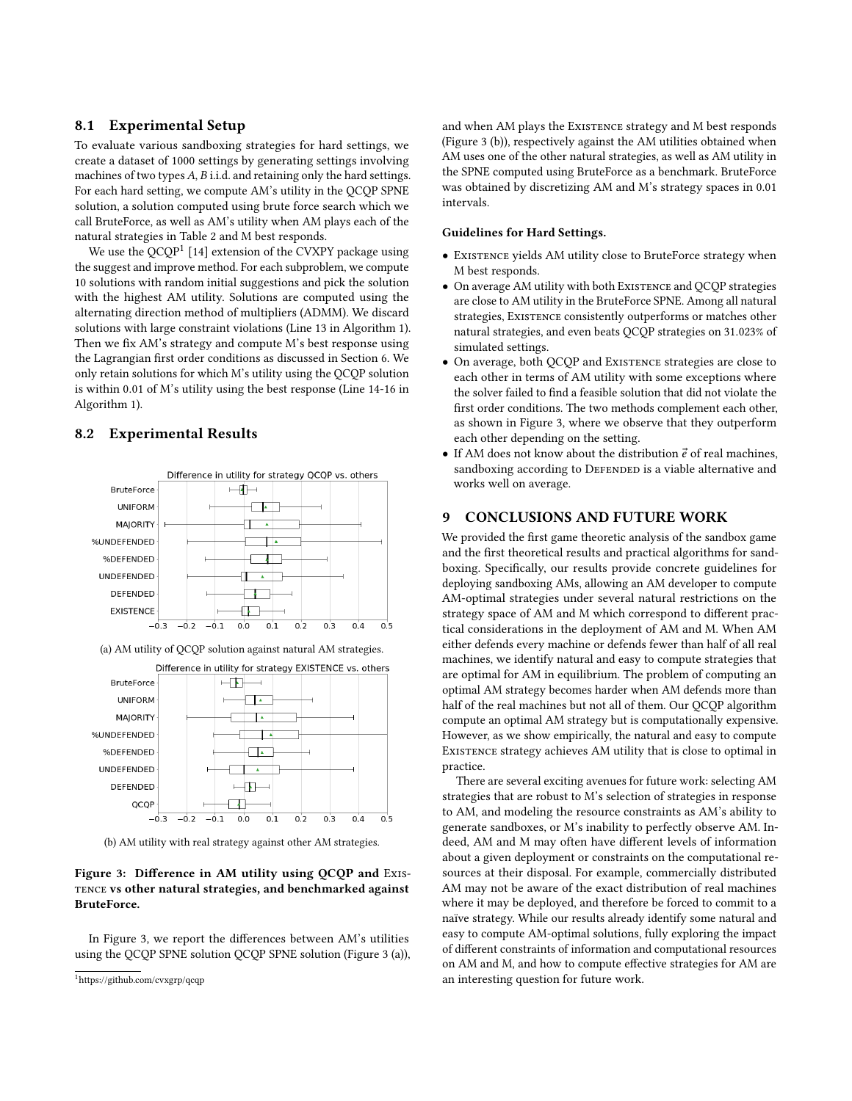## 8.1 Experimental Setup

To evaluate various sandboxing strategies for hard settings, we create a dataset of 1000 settings by generating settings involving machines of two types  $A$ ,  $B$  i.i.d. and retaining only the hard settings. For each hard setting, we compute AM's utility in the QCQP SPNE solution, a solution computed using brute force search which we call BruteForce, as well as AM's utility when AM plays each of the natural strategies in Table [2](#page-3-1) and M best responds.

We use the  $OCOP<sup>1</sup>$  $OCOP<sup>1</sup>$  $OCOP<sup>1</sup>$  [\[14\]](#page-8-0) extension of the CVXPY package using the suggest and improve method. For each subproblem, we compute 10 solutions with random initial suggestions and pick the solution with the highest AM utility. Solutions are computed using the alternating direction method of multipliers (ADMM). We discard solutions with large constraint violations (Line 13 in Algorithm [1\)](#page-6-0). Then we fix AM's strategy and compute M's best response using the Lagrangian first order conditions as discussed in Section [6.](#page-5-3) We only retain solutions for which M's utility using the QCQP solution is within 0.01 of M's utility using the best response (Line 14-16 in Algorithm [1\)](#page-6-0).

# 8.2 Experimental Results

<span id="page-7-1"></span>

(a) AM utility of QCQP solution against natural AM strategies.



(b) AM utility with real strategy against other AM strategies.

#### Figure 3: Difference in AM utility using QCQP and Existence vs other natural strategies, and benchmarked against BruteForce.

In Figure [3,](#page-7-1) we report the differences between AM's utilities using the QCQP SPNE solution QCQP SPNE solution (Figure [3](#page-7-1) (a)), and when AM plays the Existence strategy and M best responds (Figure [3](#page-7-1) (b)), respectively against the AM utilities obtained when AM uses one of the other natural strategies, as well as AM utility in the SPNE computed using BruteForce as a benchmark. BruteForce was obtained by discretizing AM and M's strategy spaces in 0.01 intervals.

#### Guidelines for Hard Settings.

- Existence yields AM utility close to BruteForce strategy when M best responds.
- On average AM utility with both EXISTENCE and QCQP strategies are close to AM utility in the BruteForce SPNE. Among all natural strategies, EXISTENCE consistently outperforms or matches other natural strategies, and even beats QCQP strategies on 31.023% of simulated settings.
- On average, both QCQP and Existence strategies are close to each other in terms of AM utility with some exceptions where the solver failed to find a feasible solution that did not violate the first order conditions. The two methods complement each other, as shown in Figure [3,](#page-7-1) where we observe that they outperform each other depending on the setting.
- If AM does not know about the distribution  $\vec{e}$  of real machines, sandboxing according to DEFENDED is a viable alternative and works well on average.

# 9 CONCLUSIONS AND FUTURE WORK

We provided the first game theoretic analysis of the sandbox game and the first theoretical results and practical algorithms for sandboxing. Specifically, our results provide concrete guidelines for deploying sandboxing AMs, allowing an AM developer to compute AM-optimal strategies under several natural restrictions on the strategy space of AM and M which correspond to different practical considerations in the deployment of AM and M. When AM either defends every machine or defends fewer than half of all real machines, we identify natural and easy to compute strategies that are optimal for AM in equilibrium. The problem of computing an optimal AM strategy becomes harder when AM defends more than half of the real machines but not all of them. Our QCQP algorithm compute an optimal AM strategy but is computationally expensive. However, as we show empirically, the natural and easy to compute Existence strategy achieves AM utility that is close to optimal in practice.

There are several exciting avenues for future work: selecting AM strategies that are robust to M's selection of strategies in response to AM, and modeling the resource constraints as AM's ability to generate sandboxes, or M's inability to perfectly observe AM. Indeed, AM and M may often have different levels of information about a given deployment or constraints on the computational resources at their disposal. For example, commercially distributed AM may not be aware of the exact distribution of real machines where it may be deployed, and therefore be forced to commit to a naïve strategy. While our results already identify some natural and easy to compute AM-optimal solutions, fully exploring the impact of different constraints of information and computational resources on AM and M, and how to compute effective strategies for AM are an interesting question for future work.

<span id="page-7-0"></span><sup>1</sup>https://github.com/cvxgrp/qcqp